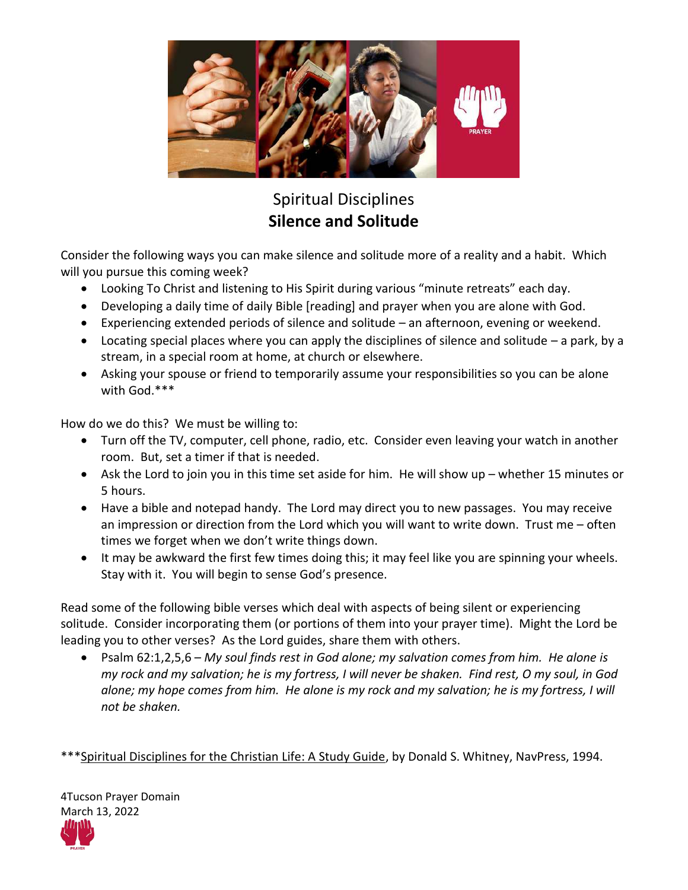

## Spiritual Disciplines **Silence and Solitude**

Consider the following ways you can make silence and solitude more of a reality and a habit. Which will you pursue this coming week?

- Looking To Christ and listening to His Spirit during various "minute retreats" each day.
- Developing a daily time of daily Bible [reading] and prayer when you are alone with God.
- Experiencing extended periods of silence and solitude an afternoon, evening or weekend.
- $\bullet$  Locating special places where you can apply the disciplines of silence and solitude a park, by a stream, in a special room at home, at church or elsewhere.
- Asking your spouse or friend to temporarily assume your responsibilities so you can be alone with God.\*\*\*

How do we do this? We must be willing to:

- Turn off the TV, computer, cell phone, radio, etc. Consider even leaving your watch in another room. But, set a timer if that is needed.
- Ask the Lord to join you in this time set aside for him. He will show up whether 15 minutes or 5 hours.
- Have a bible and notepad handy. The Lord may direct you to new passages. You may receive an impression or direction from the Lord which you will want to write down. Trust me – often times we forget when we don't write things down.
- It may be awkward the first few times doing this; it may feel like you are spinning your wheels. Stay with it. You will begin to sense God's presence.

Read some of the following bible verses which deal with aspects of being silent or experiencing solitude. Consider incorporating them (or portions of them into your prayer time). Might the Lord be leading you to other verses? As the Lord guides, share them with others.

 Psalm 62:1,2,5,6 – *My soul finds rest in God alone; my salvation comes from him. He alone is my rock and my salvation; he is my fortress, I will never be shaken. Find rest, O my soul, in God*  alone; my hope comes from him. He alone is my rock and my salvation; he is my fortress, I will *not be shaken.*

\*\*\*Spiritual Disciplines for the Christian Life: A Study Guide, by Donald S. Whitney, NavPress, 1994.

4Tucson Prayer Domain March 13, 2022